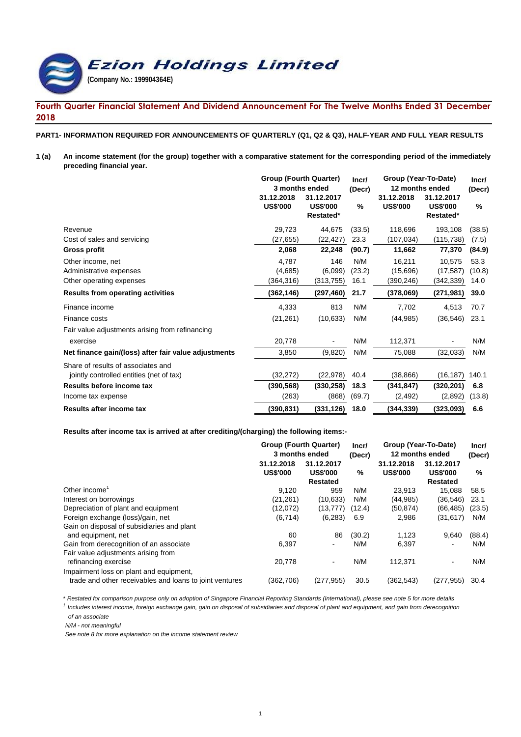**Ezion Holdings Limited (Company No.: 199904364E)**

## **Fourth Quarter Financial Statement And Dividend Announcement For The Twelve Months Ended 31 December 2018**

#### **PART1- INFORMATION REQUIRED FOR ANNOUNCEMENTS OF QUARTERLY (Q1, Q2 & Q3), HALF-YEAR AND FULL YEAR RESULTS**

**1 (a)** An income statement (for the group) together with a comparative statement for the corresponding period of the immediately **preceding financial year.**

|                                                      | <b>Group (Fourth Quarter)</b> |                                            | Incr/  | Group (Year-To-Date)          | Incr/                                      |        |
|------------------------------------------------------|-------------------------------|--------------------------------------------|--------|-------------------------------|--------------------------------------------|--------|
|                                                      | 3 months ended                |                                            | (Decr) | 12 months ended               |                                            |        |
|                                                      | 31.12.2018<br><b>US\$'000</b> | 31.12.2017<br><b>US\$'000</b><br>Restated* | %      | 31.12.2018<br><b>US\$'000</b> | 31.12.2017<br><b>US\$'000</b><br>Restated* | $\%$   |
| Revenue                                              | 29,723                        | 44,675                                     | (33.5) | 118,696                       | 193,108                                    | (38.5) |
| Cost of sales and servicing                          | (27, 655)                     | (22, 427)                                  | 23.3   | (107, 034)                    | (115,738)                                  | (7.5)  |
| Gross profit                                         | 2,068                         | 22,248                                     | (90.7) | 11,662                        | 77,370                                     | (84.9) |
| Other income, net                                    | 4,787                         | 146                                        | N/M    | 16,211                        | 10.575                                     | 53.3   |
| Administrative expenses                              | (4,685)                       | (6,099)                                    | (23.2) | (15,696)                      | (17, 587)                                  | (10.8) |
| Other operating expenses                             | (364,316)                     | (313, 755)                                 | 16.1   | (390,246)                     | (342,339)                                  | 14.0   |
| <b>Results from operating activities</b>             | (362, 146)                    | (297, 460)                                 | 21.7   | (378,069)                     | (271,981)                                  | 39.0   |
| Finance income                                       | 4,333                         | 813                                        | N/M    | 7,702                         | 4,513                                      | 70.7   |
| Finance costs                                        | (21, 261)                     | (10, 633)                                  | N/M    | (44, 985)                     | (36, 546)                                  | 23.1   |
| Fair value adjustments arising from refinancing      |                               |                                            |        |                               |                                            |        |
| exercise                                             | 20,778                        |                                            | N/M    | 112,371                       |                                            | N/M    |
| Net finance gain/(loss) after fair value adjustments | 3,850                         | (9,820)                                    | N/M    | 75,088                        | (32,033)                                   | N/M    |
| Share of results of associates and                   |                               |                                            |        |                               |                                            |        |
| jointly controlled entities (net of tax)             | (32, 272)                     | (22, 978)                                  | 40.4   | (38, 866)                     | (16, 187)                                  | 140.1  |
| Results before income tax                            | (390, 568)                    | (330, 258)                                 | 18.3   | (341, 847)                    | (320, 201)                                 | 6.8    |
| Income tax expense                                   | (263)                         | (868)                                      | (69.7) | (2, 492)                      | (2,892)                                    | (13.8) |
| Results after income tax                             | (390, 831)                    | (331, 126)                                 | 18.0   | (344, 339)                    | (323,093)                                  | 6.6    |

#### **Results after income tax is arrived at after crediting/(charging) the following items:-**

|                                                                  | <b>Group (Fourth Quarter)</b><br>3 months ended |                                                  | Group (Year-To-Date)<br>Incr/<br>12 months ended<br>(Decr) |                               |                                                  | Incr/<br>(Decr) |
|------------------------------------------------------------------|-------------------------------------------------|--------------------------------------------------|------------------------------------------------------------|-------------------------------|--------------------------------------------------|-----------------|
|                                                                  | 31.12.2018<br><b>US\$'000</b>                   | 31.12.2017<br><b>US\$'000</b><br><b>Restated</b> | %                                                          | 31.12.2018<br><b>US\$'000</b> | 31.12.2017<br><b>US\$'000</b><br><b>Restated</b> | ℅               |
| Other income                                                     | 9,120                                           | 959                                              | N/M                                                        | 23.913                        | 15.088                                           | 58.5            |
| Interest on borrowings                                           | (21, 261)                                       | (10, 633)                                        | N/M                                                        | (44, 985)                     | (36, 546)                                        | 23.1            |
| Depreciation of plant and equipment                              | (12,072)                                        | (13, 777)                                        | (12.4)                                                     | (50, 874)                     | (66, 485)                                        | (23.5)          |
| Foreign exchange (loss)/gain, net                                | (6, 714)                                        | (6, 283)                                         | 6.9                                                        | 2,986                         | (31, 617)                                        | N/M             |
| Gain on disposal of subsidiaries and plant<br>and equipment, net | 60                                              | 86                                               | (30.2)                                                     | 1,123                         | 9,640                                            | (88.4)          |
| Gain from derecognition of an associate                          | 6,397                                           | ٠                                                | N/M                                                        | 6,397                         | $\overline{\phantom{a}}$                         | N/M             |
| Fair value adjustments arising from<br>refinancing exercise      | 20.778                                          | $\sim$                                           | N/M                                                        | 112.371                       | $\overline{\phantom{a}}$                         | N/M             |
| Impairment loss on plant and equipment,                          |                                                 |                                                  |                                                            |                               |                                                  |                 |
| trade and other receivables and loans to joint ventures          | (362,706)                                       | (277, 955)                                       | 30.5                                                       | (362,543)                     | (277,955)                                        | 30.4            |

\* *Restated for comparison purpose only on adoption of Singapore Financial Reporting Standards (International), please see note 5 for more details*

*1 Includes interest income, foreign exchange gain, gain on disposal of subsidiaries and disposal of plant and equipment, and gain from derecognition of an associate*

*N/M - not meaningful*

*See note 8 for more explanation on the income statement review*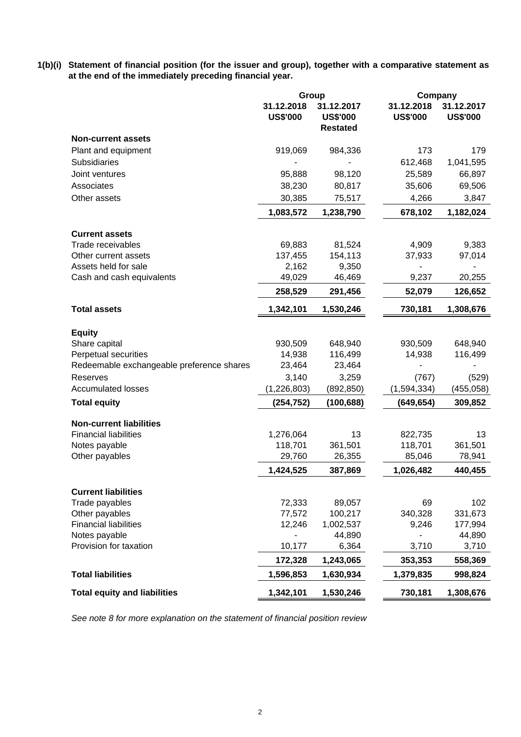**1(b)(i) Statement of financial position (for the issuer and group), together with a comparative statement as at the end of the immediately preceding financial year.**

|                                           | Group                         |                                                  | Company                       |                               |  |
|-------------------------------------------|-------------------------------|--------------------------------------------------|-------------------------------|-------------------------------|--|
|                                           | 31.12.2018<br><b>US\$'000</b> | 31.12.2017<br><b>US\$'000</b><br><b>Restated</b> | 31.12.2018<br><b>US\$'000</b> | 31.12.2017<br><b>US\$'000</b> |  |
| <b>Non-current assets</b>                 |                               |                                                  |                               |                               |  |
| Plant and equipment                       | 919,069                       | 984,336                                          | 173                           | 179                           |  |
| <b>Subsidiaries</b>                       |                               |                                                  | 612,468                       | 1,041,595                     |  |
| Joint ventures                            | 95,888                        | 98,120                                           | 25,589                        | 66,897                        |  |
| Associates                                | 38,230                        | 80,817                                           | 35,606                        | 69,506                        |  |
| Other assets                              | 30,385                        | 75,517                                           | 4,266                         | 3,847                         |  |
|                                           | 1,083,572                     | 1,238,790                                        | 678,102                       | 1,182,024                     |  |
| <b>Current assets</b>                     |                               |                                                  |                               |                               |  |
| Trade receivables                         | 69,883                        | 81,524                                           | 4,909                         | 9,383                         |  |
| Other current assets                      | 137,455                       | 154,113                                          | 37,933                        | 97,014                        |  |
| Assets held for sale                      | 2,162                         | 9,350                                            |                               |                               |  |
| Cash and cash equivalents                 | 49,029                        | 46,469                                           | 9,237                         | 20,255                        |  |
|                                           | 258,529                       | 291,456                                          | 52,079                        | 126,652                       |  |
| <b>Total assets</b>                       | 1,342,101                     | 1,530,246                                        | 730,181                       | 1,308,676                     |  |
| <b>Equity</b>                             |                               |                                                  |                               |                               |  |
| Share capital                             | 930,509                       | 648,940                                          | 930,509                       | 648,940                       |  |
| Perpetual securities                      | 14,938                        | 116,499                                          | 14,938                        | 116,499                       |  |
| Redeemable exchangeable preference shares | 23,464                        | 23,464                                           |                               |                               |  |
| Reserves                                  | 3,140                         | 3,259                                            | (767)                         | (529)                         |  |
| <b>Accumulated losses</b>                 | (1,226,803)                   | (892, 850)                                       | (1,594,334)                   | (455, 058)                    |  |
| <b>Total equity</b>                       | (254, 752)                    | (100, 688)                                       | (649, 654)                    | 309,852                       |  |
| <b>Non-current liabilities</b>            |                               |                                                  |                               |                               |  |
| <b>Financial liabilities</b>              | 1,276,064                     | 13                                               | 822,735                       | 13                            |  |
| Notes payable                             | 118,701                       | 361,501                                          | 118,701                       | 361,501                       |  |
| Other payables                            | 29,760                        | 26,355                                           | 85,046                        | 78,941                        |  |
|                                           | 1,424,525                     | 387,869                                          | 1,026,482                     | 440,455                       |  |
| <b>Current liabilities</b>                |                               |                                                  |                               |                               |  |
| Trade payables                            | 72,333                        | 89,057                                           | 69                            | 102                           |  |
| Other payables                            | 77,572                        | 100,217                                          | 340,328                       | 331,673                       |  |
| <b>Financial liabilities</b>              | 12,246                        | 1,002,537<br>44,890                              | 9,246                         | 177,994<br>44,890             |  |
| Notes payable<br>Provision for taxation   | 10,177                        | 6,364                                            | 3,710                         | 3,710                         |  |
|                                           | 172,328                       | 1,243,065                                        | 353,353                       | 558,369                       |  |
| <b>Total liabilities</b>                  | 1,596,853                     | 1,630,934                                        | 1,379,835                     | 998,824                       |  |
| <b>Total equity and liabilities</b>       | 1,342,101                     | 1,530,246                                        | 730,181                       | 1,308,676                     |  |
|                                           |                               |                                                  |                               |                               |  |

*See note 8 for more explanation on the statement of financial position review*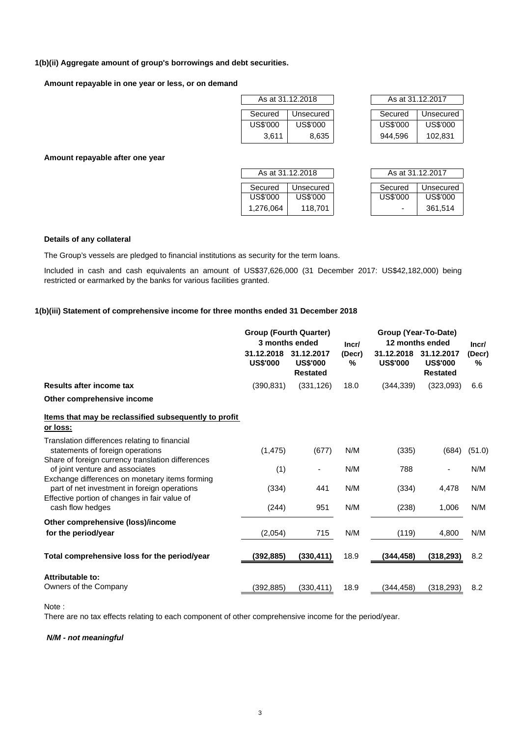#### **1(b)(ii) Aggregate amount of group's borrowings and debt securities.**

**Amount repayable in one year or less, or on demand**

| As at 31.12.2018     |          |  |  |  |  |
|----------------------|----------|--|--|--|--|
| Unsecured<br>Secured |          |  |  |  |  |
| US\$'000             | US\$'000 |  |  |  |  |
| 3,611                | 8,635    |  |  |  |  |

|          | As at 31.12.2018 | As at 31.12.2017 |           |
|----------|------------------|------------------|-----------|
| Secured  | Unsecured        | Secured          | Unsecured |
| US\$'000 | US\$'000         | US\$'000         | US\$'000  |
| 3.611    | 8,635            | 944.596          | 102,831   |

**Amount repayable after one year**

| As at 31.12.2018     |          |  |  |  |
|----------------------|----------|--|--|--|
| Secured<br>Unsecured |          |  |  |  |
| US\$'000             | US\$'000 |  |  |  |
| 1,276,064<br>118.701 |          |  |  |  |

| As at 31.12.2018 |           | As at 31.12.2017 |                          |           |
|------------------|-----------|------------------|--------------------------|-----------|
| Secured          | Unsecured |                  | Secured                  | Unsecured |
| US\$'000         | US\$'000  |                  | US\$'000                 | US\$'000  |
| 1,276,064        | 118,701   |                  | $\overline{\phantom{0}}$ | 361,514   |

### **Details of any collateral**

The Group's vessels are pledged to financial institutions as security for the term loans.

Included in cash and cash equivalents an amount of US\$37,626,000 (31 December 2017: US\$42,182,000) being restricted or earmarked by the banks for various facilities granted.

# **1(b)(iii) Statement of comprehensive income for three months ended 31 December 2018**

|                                                                                                                                                 | <b>Group (Fourth Quarter)</b><br>3 months ended |                                                  | Group (Year-To-Date)<br>12 months ended<br>Incr/ |                               |                                                  | Incr/       |
|-------------------------------------------------------------------------------------------------------------------------------------------------|-------------------------------------------------|--------------------------------------------------|--------------------------------------------------|-------------------------------|--------------------------------------------------|-------------|
|                                                                                                                                                 | 31.12.2018<br><b>US\$'000</b>                   | 31.12.2017<br><b>US\$'000</b><br><b>Restated</b> | (Decr)<br>℅                                      | 31.12.2018<br><b>US\$'000</b> | 31.12.2017<br><b>US\$'000</b><br><b>Restated</b> | (Decr)<br>℅ |
| Results after income tax                                                                                                                        | (390, 831)                                      | (331, 126)                                       | 18.0                                             | (344, 339)                    | (323,093)                                        | 6.6         |
| Other comprehensive income                                                                                                                      |                                                 |                                                  |                                                  |                               |                                                  |             |
| <u>Items that may be reclassified subsequently to profit</u><br>or loss:                                                                        |                                                 |                                                  |                                                  |                               |                                                  |             |
| Translation differences relating to financial<br>statements of foreign operations<br>Share of foreign currency translation differences          | (1, 475)                                        | (677)                                            | N/M                                              | (335)                         | (684)                                            | (51.0)      |
| of joint venture and associates                                                                                                                 | (1)                                             | -                                                | N/M                                              | 788                           |                                                  | N/M         |
| Exchange differences on monetary items forming<br>part of net investment in foreign operations<br>Effective portion of changes in fair value of | (334)                                           | 441                                              | N/M                                              | (334)                         | 4,478                                            | N/M         |
| cash flow hedges                                                                                                                                | (244)                                           | 951                                              | N/M                                              | (238)                         | 1,006                                            | N/M         |
| Other comprehensive (loss)/income                                                                                                               |                                                 |                                                  |                                                  |                               |                                                  |             |
| for the period/year                                                                                                                             | (2,054)                                         | 715                                              | N/M                                              | (119)                         | 4,800                                            | N/M         |
| Total comprehensive loss for the period/year                                                                                                    | (392,885)                                       | (330, 411)                                       | 18.9                                             | (344, 458)                    | (318, 293)                                       | 8.2         |
| Attributable to:                                                                                                                                |                                                 |                                                  |                                                  |                               |                                                  |             |
| Owners of the Company                                                                                                                           | (392,885)                                       | (330, 411)                                       | 18.9                                             | (344,458)                     | (318, 293)                                       | 8.2         |

Note :

There are no tax effects relating to each component of other comprehensive income for the period/year.

*N/M - not meaningful*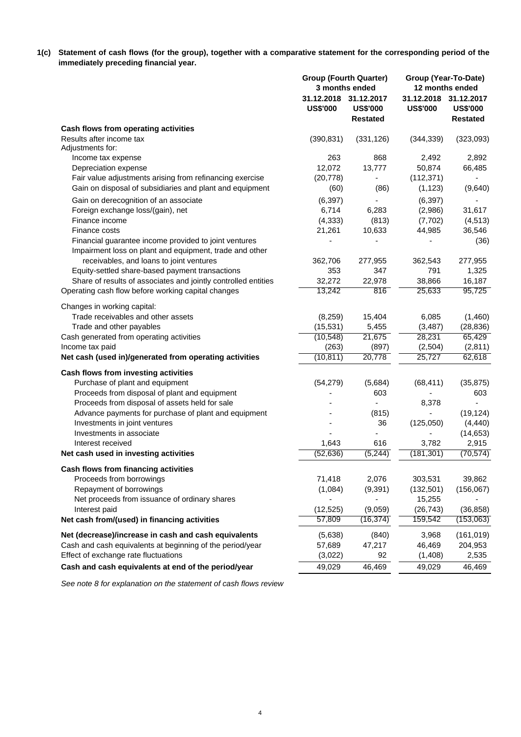1(c) Statement of cash flows (for the group), together with a comparative statement for the corresponding period of the **immediately preceding financial year.**

|                                                                                                                  |                 | <b>Group (Fourth Quarter)</b><br>3 months ended             |                               | Group (Year-To-Date)<br>12 months ended          |  |  |
|------------------------------------------------------------------------------------------------------------------|-----------------|-------------------------------------------------------------|-------------------------------|--------------------------------------------------|--|--|
|                                                                                                                  | <b>US\$'000</b> | 31.12.2018 31.12.2017<br><b>US\$'000</b><br><b>Restated</b> | 31.12.2018<br><b>US\$'000</b> | 31.12.2017<br><b>US\$'000</b><br><b>Restated</b> |  |  |
| Cash flows from operating activities                                                                             |                 |                                                             |                               |                                                  |  |  |
| Results after income tax<br>Adjustments for:                                                                     | (390, 831)      | (331, 126)                                                  | (344, 339)                    | (323,093)                                        |  |  |
| Income tax expense                                                                                               | 263             | 868                                                         | 2,492                         | 2,892                                            |  |  |
| Depreciation expense                                                                                             | 12,072          | 13,777                                                      | 50,874                        | 66,485                                           |  |  |
| Fair value adjustments arising from refinancing exercise                                                         | (20, 778)       |                                                             | (112, 371)                    |                                                  |  |  |
| Gain on disposal of subsidiaries and plant and equipment                                                         | (60)            | (86)                                                        | (1, 123)                      | (9,640)                                          |  |  |
| Gain on derecognition of an associate                                                                            | (6, 397)        |                                                             | (6, 397)                      |                                                  |  |  |
| Foreign exchange loss/(gain), net                                                                                | 6,714           | 6,283                                                       | (2,986)                       | 31,617                                           |  |  |
| Finance income                                                                                                   | (4, 333)        | (813)                                                       | (7, 702)                      | (4, 513)                                         |  |  |
| Finance costs                                                                                                    | 21,261          | 10,633                                                      | 44,985                        | 36,546                                           |  |  |
| Financial guarantee income provided to joint ventures<br>Impairment loss on plant and equipment, trade and other |                 |                                                             |                               | (36)                                             |  |  |
| receivables, and loans to joint ventures                                                                         | 362,706         | 277,955                                                     | 362,543                       | 277,955                                          |  |  |
| Equity-settled share-based payment transactions                                                                  | 353             | 347                                                         | 791                           | 1,325                                            |  |  |
| Share of results of associates and jointly controlled entities                                                   | 32,272          | 22,978                                                      | 38,866                        | 16,187                                           |  |  |
| Operating cash flow before working capital changes                                                               | 13,242          | 816                                                         | 25,633                        | 95,725                                           |  |  |
| Changes in working capital:                                                                                      |                 |                                                             |                               |                                                  |  |  |
| Trade receivables and other assets                                                                               | (8, 259)        | 15,404                                                      | 6,085                         | (1,460)                                          |  |  |
| Trade and other payables                                                                                         | (15, 531)       | 5,455                                                       | (3, 487)                      | (28, 836)                                        |  |  |
| Cash generated from operating activities                                                                         | (10, 548)       | 21,675                                                      | 28,231                        | 65,429                                           |  |  |
| Income tax paid                                                                                                  | (263)           | (897)                                                       | (2, 504)                      | (2,811)                                          |  |  |
| Net cash (used in)/generated from operating activities                                                           | (10, 811)       | 20,778                                                      | 25,727                        | 62,618                                           |  |  |
|                                                                                                                  |                 |                                                             |                               |                                                  |  |  |
| Cash flows from investing activities                                                                             |                 |                                                             |                               |                                                  |  |  |
| Purchase of plant and equipment                                                                                  | (54, 279)       | (5,684)                                                     | (68, 411)                     | (35, 875)                                        |  |  |
| Proceeds from disposal of plant and equipment                                                                    |                 | 603                                                         |                               | 603                                              |  |  |
| Proceeds from disposal of assets held for sale                                                                   |                 |                                                             | 8,378                         |                                                  |  |  |
| Advance payments for purchase of plant and equipment                                                             |                 | (815)                                                       |                               | (19, 124)                                        |  |  |
| Investments in joint ventures                                                                                    |                 | 36                                                          | (125,050)                     | (4, 440)                                         |  |  |
| Investments in associate                                                                                         |                 |                                                             |                               | (14, 653)                                        |  |  |
| Interest received                                                                                                | 1,643           | 616                                                         | 3,782                         | 2,915<br>(70, 574)                               |  |  |
| Net cash used in investing activities                                                                            | (52, 636)       | (5, 244)                                                    | (181, 301)                    |                                                  |  |  |
| Cash flows from financing activities                                                                             |                 |                                                             |                               |                                                  |  |  |
| Proceeds from borrowings                                                                                         | 71,418          | 2,076                                                       | 303,531                       | 39,862                                           |  |  |
| Repayment of borrowings                                                                                          | (1,084)         | (9, 391)                                                    | (132, 501)                    | (156,067)                                        |  |  |
| Net proceeds from issuance of ordinary shares                                                                    | ä,              |                                                             | 15,255                        |                                                  |  |  |
| Interest paid                                                                                                    | (12, 525)       | (9,059)                                                     | (26, 743)                     | (36, 858)                                        |  |  |
| Net cash from/(used) in financing activities                                                                     | 57,809          | (16, 374)                                                   | 159,542                       | (153,063)                                        |  |  |
| Net (decrease)/increase in cash and cash equivalents                                                             | (5,638)         | (840)                                                       | 3,968                         | (161, 019)                                       |  |  |
| Cash and cash equivalents at beginning of the period/year                                                        | 57,689          | 47,217                                                      | 46,469                        | 204,953                                          |  |  |
| Effect of exchange rate fluctuations                                                                             | (3,022)         | 92                                                          | (1,408)                       | 2,535                                            |  |  |
| Cash and cash equivalents at end of the period/year                                                              | 49,029          | 46,469                                                      | 49,029                        | 46,469                                           |  |  |

*See note 8 for explanation on the statement of cash flows review*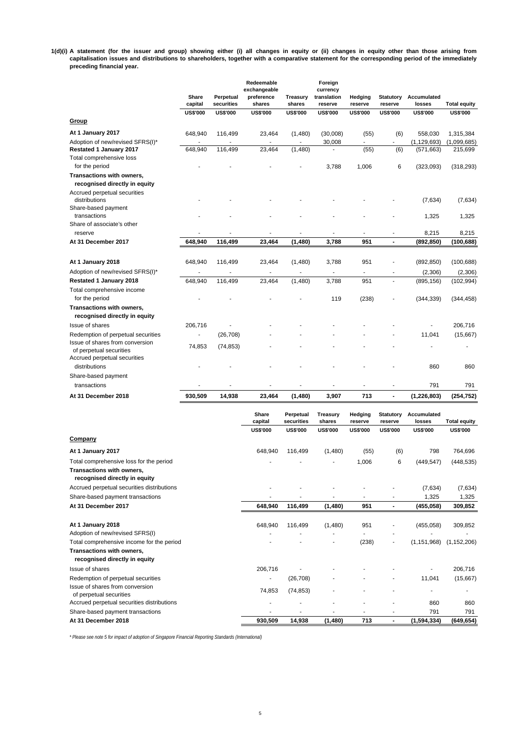1(d)(i) A statement (for the issuer and group) showing either (i) all changes in equity or (ii) changes in equity other than those arising from capitalisation issues and distributions to shareholders, together with a comparative statement for the corresponding period of the immediately **preceding financial year.**

|                                                                                                       | Share<br>capital         | Perpetual<br>securities | Redeemable<br>exchangeable<br>preference<br>shares | Treasury<br>shares                 | Foreign<br>currency<br>translation<br>reserve | Hedging<br>reserve       | <b>Statutory</b><br>reserve      | Accumulated<br>losses       | <b>Total equity</b>    |
|-------------------------------------------------------------------------------------------------------|--------------------------|-------------------------|----------------------------------------------------|------------------------------------|-----------------------------------------------|--------------------------|----------------------------------|-----------------------------|------------------------|
| <b>Group</b>                                                                                          | <b>US\$'000</b>          | <b>US\$'000</b>         | <b>US\$'000</b>                                    | <b>US\$'000</b>                    | <b>US\$'000</b>                               | <b>US\$'000</b>          | <b>US\$'000</b>                  | <b>US\$'000</b>             | <b>US\$'000</b>        |
| At 1 January 2017                                                                                     | 648,940                  | 116,499                 | 23,464                                             | (1,480)                            | (30,008)                                      | (55)                     | (6)                              | 558,030                     | 1,315,384              |
| Adoption of new/revised SFRS(I)*<br><b>Restated 1 January 2017</b>                                    | 648,940                  | 116,499                 | 23,464                                             | (1,480)                            | 30,008                                        | (55)                     | (6)                              | (1, 129, 693)<br>(571, 663) | (1,099,685)<br>215,699 |
| Total comprehensive loss<br>for the period                                                            |                          |                         |                                                    |                                    | 3,788                                         | 1,006                    | 6                                | (323,093)                   | (318, 293)             |
| Transactions with owners,<br>recognised directly in equity<br>Accrued perpetual securities            |                          |                         |                                                    |                                    |                                               |                          |                                  |                             |                        |
| distributions<br>Share-based payment                                                                  |                          |                         |                                                    |                                    |                                               |                          |                                  | (7,634)                     | (7,634)                |
| transactions<br>Share of associate's other                                                            |                          |                         |                                                    |                                    |                                               |                          |                                  | 1,325                       | 1,325                  |
| reserve                                                                                               |                          |                         |                                                    |                                    |                                               |                          | $\frac{1}{2}$                    | 8,215                       | 8,215                  |
| At 31 December 2017                                                                                   | 648,940                  | 116,499                 | 23,464                                             | (1,480)                            | 3,788                                         | 951                      | $\blacksquare$                   | (892, 850)                  | (100, 688)             |
| At 1 January 2018                                                                                     | 648,940                  | 116,499                 | 23,464                                             | (1,480)                            | 3,788                                         | 951                      |                                  | (892, 850)                  | (100, 688)             |
| Adoption of new/revised SFRS(I)*                                                                      | $\overline{a}$           |                         |                                                    | $\overline{\phantom{a}}$           | ÷,                                            | $\overline{\phantom{a}}$ |                                  | (2,306)                     | (2,306)                |
| <b>Restated 1 January 2018</b><br>Total comprehensive income                                          | 648,940                  | 116,499                 | 23,464                                             | (1,480)                            | 3,788                                         | 951                      | $\blacksquare$                   | (895, 156)                  | (102, 994)             |
| for the period                                                                                        |                          |                         |                                                    |                                    | 119                                           | (238)                    |                                  | (344, 339)                  | (344, 458)             |
| Transactions with owners,<br>recognised directly in equity                                            |                          |                         |                                                    |                                    |                                               |                          |                                  |                             |                        |
| Issue of shares                                                                                       | 206,716                  |                         |                                                    |                                    |                                               |                          |                                  |                             | 206,716                |
| Redemption of perpetual securities                                                                    | $\overline{\phantom{a}}$ | (26, 708)               |                                                    |                                    |                                               |                          |                                  | 11,041                      | (15,667)               |
| Issue of shares from conversion<br>of perpetual securities<br>Accrued perpetual securities            | 74,853                   | (74, 853)               |                                                    |                                    |                                               |                          |                                  |                             | L,                     |
| distributions<br>Share-based payment                                                                  |                          |                         |                                                    |                                    |                                               |                          |                                  | 860                         | 860                    |
| transactions                                                                                          |                          |                         |                                                    | $\blacksquare$                     | -                                             | $\overline{\phantom{a}}$ | $\blacksquare$                   | 791                         | 791                    |
| At 31 December 2018                                                                                   | 930,509                  | 14,938                  | 23,464                                             | (1,480)                            | 3,907                                         | 713                      | $\blacksquare$                   | (1, 226, 803)               | (254, 752)             |
|                                                                                                       |                          |                         | Share<br>capital                                   | Perpetual<br>securities            | <b>Treasury</b><br>shares                     | Hedging<br>reserve       | <b>Statutory</b><br>reserve      | Accumulated<br>losses       | <b>Total equity</b>    |
| Company                                                                                               |                          |                         | <b>US\$'000</b>                                    | <b>US\$'000</b>                    | <b>US\$'000</b>                               | <b>US\$'000</b>          | <b>US\$'000</b>                  | <b>US\$'000</b>             | <b>US\$'000</b>        |
|                                                                                                       |                          |                         |                                                    |                                    |                                               |                          |                                  |                             |                        |
| At 1 January 2017                                                                                     |                          |                         | 648,940                                            | 116,499                            | (1,480)                                       | (55)                     | (6)                              | 798                         | 764,696                |
| Total comprehensive loss for the period<br>Transactions with owners,<br>recognised directly in equity |                          |                         |                                                    | $\overline{\phantom{a}}$           | İ.                                            | 1,006                    | 6                                | (449, 547)                  | (448, 535)             |
| Accrued perpetual securities distributions                                                            |                          |                         |                                                    | ÷,                                 |                                               |                          |                                  | (7,634)                     | (7,634)                |
| Share-based payment transactions                                                                      |                          |                         | ٠                                                  | ٠                                  | $\overline{\phantom{a}}$                      | $\overline{\phantom{a}}$ | $\frac{1}{2}$                    | 1,325                       | 1,325                  |
| At 31 December 2017                                                                                   |                          |                         | 648,940                                            | 116,499                            | (1,480)                                       | 951                      | $\blacksquare$                   | (455, 058)                  | 309,852                |
| At 1 January 2018<br>Adoption of new/revised SFRS(I)                                                  |                          |                         | 648,940                                            | 116,499                            | (1,480)                                       | 951                      |                                  | (455, 058)                  | 309,852                |
| Total comprehensive income for the period                                                             |                          |                         |                                                    | ٠                                  | ÷,                                            | (238)                    |                                  | (1, 151, 968)               | (1, 152, 206)          |
| Transactions with owners,<br>recognised directly in equity                                            |                          |                         |                                                    |                                    |                                               |                          |                                  |                             |                        |
| Issue of shares                                                                                       |                          |                         | 206,716                                            | $\qquad \qquad \blacksquare$       |                                               |                          |                                  |                             | 206,716                |
| Redemption of perpetual securities                                                                    |                          |                         |                                                    | (26, 708)                          |                                               |                          |                                  | 11,041                      | (15,667)               |
| Issue of shares from conversion<br>of perpetual securities                                            |                          |                         | 74,853                                             | (74, 853)                          |                                               |                          |                                  | ٠                           | ÷,                     |
| Accrued perpetual securities distributions                                                            |                          |                         | ٠                                                  | ä,                                 | $\overline{\phantom{a}}$                      |                          |                                  | 860                         | 860                    |
| Share-based payment transactions<br>At 31 December 2018                                               |                          |                         | $\overline{\phantom{a}}$<br>930,509                | $\overline{\phantom{a}}$<br>14,938 | ٠<br>(1,480)                                  | ٠<br>713                 | $\blacksquare$<br>$\blacksquare$ | 791<br>(1, 594, 334)        | 791<br>(649, 654)      |

*\* Please see note 5 for impact of adoption of Singapore Financial Reporting Standards (International)*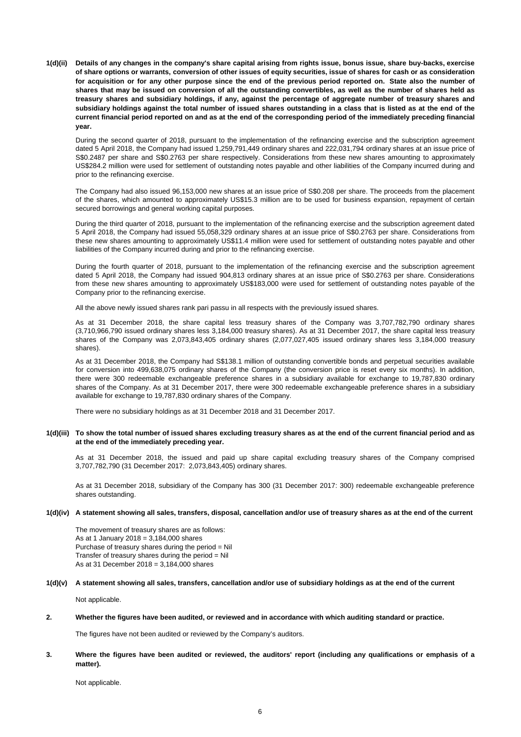1(d)(ii) Details of any changes in the company's share capital arising from rights issue, bonus issue, share buy-backs, exercise of share options or warrants, conversion of other issues of equity securities, issue of shares for cash or as consideration for acquisition or for any other purpose since the end of the previous period reported on. State also the number of shares that may be issued on conversion of all the outstanding convertibles, as well as the number of shares held as treasury shares and subsidiary holdings, if any, against the percentage of aggregate number of treasury shares and subsidiary holdings against the total number of issued shares outstanding in a class that is listed as at the end of the current financial period reported on and as at the end of the corresponding period of the immediately preceding financial **year.**

During the second quarter of 2018, pursuant to the implementation of the refinancing exercise and the subscription agreement dated 5 April 2018, the Company had issued 1,259,791,449 ordinary shares and 222,031,794 ordinary shares at an issue price of S\$0.2487 per share and S\$0.2763 per share respectively. Considerations from these new shares amounting to approximately US\$284.2 million were used for settlement of outstanding notes payable and other liabilities of the Company incurred during and prior to the refinancing exercise.

The Company had also issued 96,153,000 new shares at an issue price of S\$0.208 per share. The proceeds from the placement of the shares, which amounted to approximately US\$15.3 million are to be used forbusiness expansion, repayment of certain secured borrowings and general working capital purposes.

During the third quarter of 2018, pursuant to the implementation of the refinancing exercise and the subscription agreement dated 5 April 2018, the Company had issued 55,058,329 ordinary shares at an issue price of S\$0.2763 per share. Considerations from these new shares amounting to approximately US\$11.4 million were used for settlement of outstanding notes payable and other liabilities of the Company incurred during and prior to the refinancing exercise.

During the fourth quarter of 2018, pursuant to the implementation of the refinancing exercise and the subscription agreement dated 5 April 2018, the Company had issued 904,813 ordinary shares at an issue price of S\$0.2763 per share. Considerations from these new shares amounting to approximately US\$183,000 were used for settlement of outstanding notes payable of the Company prior to the refinancing exercise.

All the above newly issued shares rank pari passu in all respects with the previously issued shares.

As at 31 December 2018, the share capital less treasury shares of the Company was 3,707,782,790 ordinary shares (3,710,966,790 issued ordinary shares less 3,184,000 treasury shares). As at 31 December 2017, the share capital less treasury shares of the Company was 2,073,843,405 ordinary shares (2,077,027,405 issued ordinary shares less 3,184,000 treasury shares).

As at 31 December 2018, the Company had S\$138.1 million of outstanding convertible bonds and perpetual securities available for conversion into 499,638,075 ordinary shares of the Company (the conversion price is reset every six months). In addition, there were 300 redeemable exchangeable preference shares in a subsidiary available for exchange to 19,787,830 ordinary shares of the Company. As at 31 December 2017, there were 300 redeemable exchangeable preference shares in a subsidiary available for exchange to 19,787,830 ordinary shares of the Company.

There were no subsidiary holdings as at 31 December 2018 and 31 December 2017.

#### 1(d)(iii) To show the total number of issued shares excluding treasury shares as at the end of the current financial period and as **at the end of the immediately preceding year.**

As at 31 December 2018, the issued and paid up share capital excluding treasury shares of the Company comprised 3,707,782,790 (31 December 2017: 2,073,843,405) ordinary shares.

As at 31 December 2018, subsidiary of the Company has 300 (31 December 2017: 300) redeemable exchangeable preference shares outstanding.

#### **1(d)(iv) A statement showing all sales, transfers, disposal, cancellation and/or use of treasury shares as at the end of the current**

The movement of treasury shares are as follows: As at 1 January 2018 = 3,184,000 shares Purchase of treasury shares during the period = Nil Transfer of treasury shares during the period  $=$  Nil As at 31 December 2018 = 3,184,000 shares

**1(d)(v) A statement showing all sales, transfers, cancellation and/or use of subsidiary holdings as at the end of the current**

Not applicable.

#### **2. Whether the figures have been audited, or reviewed and in accordance with which auditing standard or practice.**

The figures have not been audited or reviewed by the Company's auditors.

#### **3.** Where the figures have been audited or reviewed, the auditors' report (including any qualifications or emphasis of a **matter).**

Not applicable.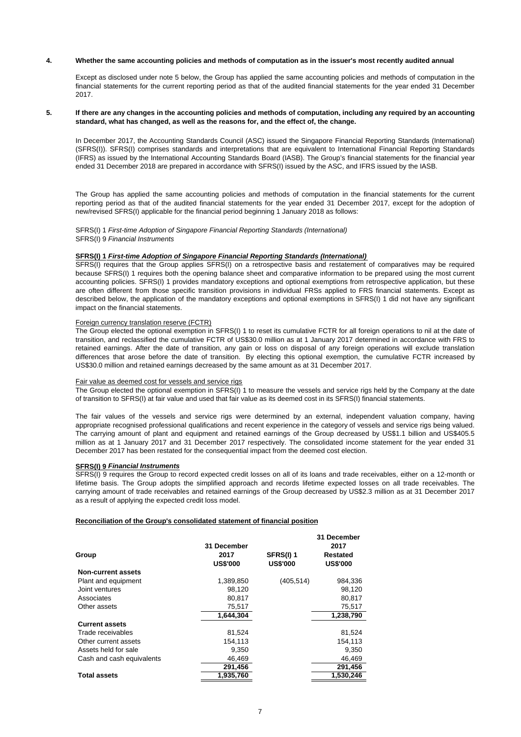#### **4. Whether the same accounting policies and methods of computation as in the issuer's most recently audited annual**

Except as disclosed under note 5 below, the Group has applied the same accounting policies and methods of computation in the financial statements for the current reporting period as that of the audited financial statements for the year ended 31 December 2017.

#### **5.** If there are any changes in the accounting policies and methods of computation, including any required by an accounting **standard, what has changed, as well as the reasons for, and the effect of, the change.**

In December 2017, the Accounting Standards Council (ASC) issued the Singapore Financial Reporting Standards (International) (SFRS(I)). SFRS(I) comprises standards and interpretations that are equivalent to International Financial Reporting Standards (IFRS) as issued by the International Accounting Standards Board (IASB). The Group's financial statements for the financial year ended 31 December 2018 are prepared in accordance with SFRS(I) issued by the ASC, and IFRS issued by the IASB.

The Group has applied the same accounting policies and methods of computation in the financial statements for the current reporting period as that of the audited financial statements for the year ended 31 December 2017, except for the adoption of new/revised SFRS(I) applicable for the financial period beginning 1 January 2018 as follows:

SFRS(I) 1 *First-time Adoption of Singapore Financial Reporting Standards (International)* SFRS(I) 9 *Financial Instruments*

#### **SFRS(I) 1** *First-time Adoption of Singapore Financial Reporting Standards (International)*

SFRS(I) requires that the Group applies SFRS(I) on a retrospective basis and restatement of comparatives may be required because SFRS(I) 1 requires both the opening balance sheet and comparative information to be prepared using the most current accounting policies. SFRS(I) 1 provides mandatory exceptions and optional exemptions from retrospective application, but these are often different from those specific transition provisions in individual FRSs applied to FRS financial statements. Except as described below, the application of the mandatory exceptions and optional exemptions in SFRS(I) 1 did not have any significant impact on the financial statements.

#### Foreign currency translation reserve (FCTR)

The Group elected the optional exemption in SFRS(I) 1 to reset its cumulative FCTR for all foreign operations to nil at the date of transition, and reclassified the cumulative FCTR of US\$30.0 million as at 1 January 2017 determined in accordance with FRS to retained earnings. After the date of transition, any gain or loss on disposal of any foreign operations will exclude translation differences that arose before the date of transition. By electing this optional exemption, the cumulative FCTR increased by US\$30.0 million and retained earnings decreased by the same amount as at 31 December 2017.

#### Fair value as deemed cost for vessels and service rigs

The Group elected the optional exemption in SFRS(I) 1 to measure the vessels and service rigs held by the Company at the date of transition to SFRS(I) at fair value and used that fair value as its deemed cost in its SFRS(I) financial statements.

The fair values of the vessels and service rigs were determined by an external, independent valuation company, having appropriate recognised professional qualifications and recent experience in the category of vessels and service rigs being valued. The carrying amount of plant and equipment and retained earnings of the Group decreased by US\$1.1 billion and US\$405.5 million as at 1 January 2017 and 31 December 2017 respectively. The consolidated income statement for the year ended 31 December 2017 has been restated for the consequential impact from the deemed cost election.

#### **SFRS(I) 9** *Financial Instruments*

SFRS(I) 9 requires the Group to record expected credit losses on all of its loans and trade receivables, either on a 12-month or lifetime basis. The Group adopts the simplified approach and records lifetime expected losses on all trade receivables. The carrying amount of trade receivables and retained earnings of the Group decreased by US\$2.3 million as at 31 December 2017 as a result of applying the expected credit loss model.

#### **Reconciliation of the Group's consolidated statement of financial position**

|                           |                         |                                     | 31 December<br>2017                |  |  |
|---------------------------|-------------------------|-------------------------------------|------------------------------------|--|--|
|                           | 31 December             |                                     |                                    |  |  |
| Group                     | 2017<br><b>US\$'000</b> | <b>SFRS(I) 1</b><br><b>US\$'000</b> | <b>Restated</b><br><b>US\$'000</b> |  |  |
| <b>Non-current assets</b> |                         |                                     |                                    |  |  |
| Plant and equipment       | 1,389,850               | (405, 514)                          | 984,336                            |  |  |
| Joint ventures            | 98,120                  |                                     | 98,120                             |  |  |
| Associates                | 80.817                  |                                     | 80.817                             |  |  |
| Other assets              | 75,517                  |                                     | 75,517                             |  |  |
|                           | 1.644.304               |                                     | 1,238,790                          |  |  |
| <b>Current assets</b>     |                         |                                     |                                    |  |  |
| Trade receivables         | 81,524                  |                                     | 81,524                             |  |  |
| Other current assets      | 154.113                 |                                     | 154.113                            |  |  |
| Assets held for sale      | 9,350                   |                                     | 9,350                              |  |  |
| Cash and cash equivalents | 46.469                  |                                     | 46,469                             |  |  |
|                           | 291,456                 |                                     | 291,456                            |  |  |
| <b>Total assets</b>       | 1,935,760               |                                     | 1,530,246                          |  |  |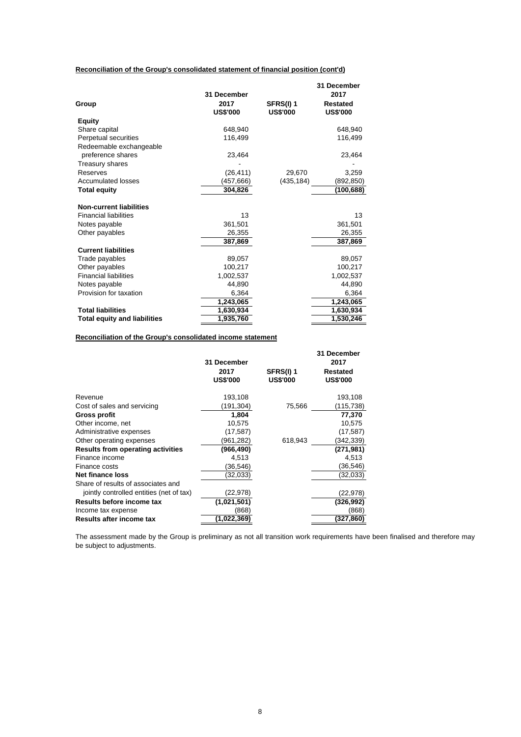# **Reconciliation of the Group's consolidated statement of financial position (cont'd)**

|                                     | 31 December     |                  | 31 December<br>2017 |
|-------------------------------------|-----------------|------------------|---------------------|
| Group                               | 2017            | <b>SFRS(I) 1</b> | <b>Restated</b>     |
|                                     | <b>US\$'000</b> | <b>US\$'000</b>  | <b>US\$'000</b>     |
| <b>Equity</b>                       |                 |                  |                     |
| Share capital                       | 648,940         |                  | 648,940             |
| Perpetual securities                | 116,499         |                  | 116,499             |
| Redeemable exchangeable             |                 |                  |                     |
| preference shares                   | 23,464          |                  | 23,464              |
| Treasury shares                     |                 |                  |                     |
| Reserves                            | (26, 411)       | 29.670           | 3,259               |
| <b>Accumulated losses</b>           | (457,666)       | (435, 184)       | (892, 850)          |
| <b>Total equity</b>                 | 304,826         |                  | (100, 688)          |
| <b>Non-current liabilities</b>      |                 |                  |                     |
| <b>Financial liabilities</b>        | 13              |                  | 13                  |
| Notes payable                       | 361.501         |                  | 361.501             |
| Other payables                      | 26,355          |                  | 26,355              |
|                                     | 387,869         |                  | 387,869             |
| <b>Current liabilities</b>          |                 |                  |                     |
| Trade payables                      | 89,057          |                  | 89,057              |
| Other payables                      | 100,217         |                  | 100,217             |
| <b>Financial liabilities</b>        | 1,002,537       |                  | 1,002,537           |
| Notes payable                       | 44,890          |                  | 44,890              |
| Provision for taxation              | 6,364           |                  | 6,364               |
|                                     | 1,243,065       |                  | 1,243,065           |
| <b>Total liabilities</b>            | 1,630,934       |                  | 1,630,934           |
| <b>Total equity and liabilities</b> | 1,935,760       |                  | 1,530,246           |

# **Reconciliation of the Group's consolidated income statement**

|                                          | 31 December<br>2017<br><b>US\$'000</b> | <b>SFRS(I) 1</b><br><b>US\$'000</b> | 31 December<br>2017<br>Restated<br><b>US\$'000</b> |
|------------------------------------------|----------------------------------------|-------------------------------------|----------------------------------------------------|
| Revenue                                  | 193,108                                |                                     | 193,108                                            |
| Cost of sales and servicing              | (191,304)                              | 75,566                              | (115,738)                                          |
| Gross profit                             | 1,804                                  |                                     | 77,370                                             |
| Other income, net                        | 10,575                                 |                                     | 10,575                                             |
| Administrative expenses                  | (17, 587)                              |                                     | (17, 587)                                          |
| Other operating expenses                 | (961,282)                              | 618,943                             | (342,339)                                          |
| <b>Results from operating activities</b> | (966,490)                              |                                     | (271,981)                                          |
| Finance income                           | 4,513                                  |                                     | 4,513                                              |
| Finance costs                            | (36,546)                               |                                     | (36,546)                                           |
| Net finance loss                         | (32,033)                               |                                     | (32,033)                                           |
| Share of results of associates and       |                                        |                                     |                                                    |
| jointly controlled entities (net of tax) | (22, 978)                              |                                     | (22,978)                                           |
| Results before income tax                | (1,021,501)                            |                                     | (326,992)                                          |
| Income tax expense                       | (868)                                  |                                     | (868)                                              |
| <b>Results after income tax</b>          | (1,022,369                             |                                     | (327,860                                           |

The assessment made by the Group is preliminary as not all transition work requirements have been finalised and therefore may be subject to adjustments.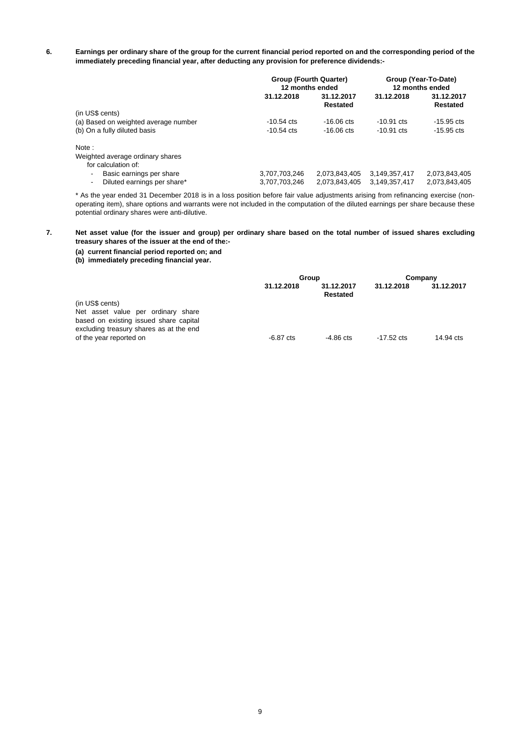**6.** Earnings per ordinary share of the group for the current financial period reported on and the corresponding period of the **immediately preceding financial year, after deducting any provision for preference dividends:-**

|                                      | Group (Fourth Quarter)<br>12 months ended |                        | Group (Year-To-Date)<br>12 months ended |                        |
|--------------------------------------|-------------------------------------------|------------------------|-----------------------------------------|------------------------|
|                                      | 31.12.2018                                | 31.12.2017<br>Restated | 31.12.2018                              | 31.12.2017<br>Restated |
| (in US\$ cents)                      |                                           |                        |                                         |                        |
| (a) Based on weighted average number | $-10.54 \text{ cts}$                      | $-16.06 \text{ cts}$   | $-10.91 \text{ cts}$                    | $-15.95$ cts           |
| (b) On a fully diluted basis         | $-10.54 \text{ cts}$                      | $-16.06 \text{ cts}$   | $-10.91 \text{ cts}$                    | $-15.95$ cts           |
| Note:                                |                                           |                        |                                         |                        |
| Weighted average ordinary shares     |                                           |                        |                                         |                        |
| for calculation of:                  |                                           |                        |                                         |                        |
| Basic earnings per share<br>۰.       | 3,707,703,246                             | 2.073.843.405          | 3,149,357,417                           | 2,073,843,405          |
| Diluted earnings per share*<br>-     | 3,707,703,246                             | 2.073.843.405          | 3,149,357,417                           | 2,073,843,405          |

\* As the year ended 31 December 2018 is in a loss position before fair value adjustments arising from refinancing exercise (nonoperating item), share options and warrants were not included in the computation of the diluted earnings per share because these potential ordinary shares were anti-dilutive.

#### **7.** Net asset value (for the issuer and group) per ordinary share based on the total number of issued shares excluding **treasury shares of the issuer at the end of the:-**

# **(a) current financial period reported on; and**

**(b) immediately preceding financial year.**

|                                                                                                                         | Group       |                        | Company              |            |  |
|-------------------------------------------------------------------------------------------------------------------------|-------------|------------------------|----------------------|------------|--|
|                                                                                                                         | 31.12.2018  | 31.12.2017<br>Restated | 31.12.2018           | 31.12.2017 |  |
| (in US\$ cents)                                                                                                         |             |                        |                      |            |  |
| Net asset value per ordinary share<br>based on existing issued share capital<br>excluding treasury shares as at the end |             |                        |                      |            |  |
| of the year reported on                                                                                                 | $-6.87$ cts | $-4.86$ cts            | $-17.52 \text{ cts}$ | 14.94 cts  |  |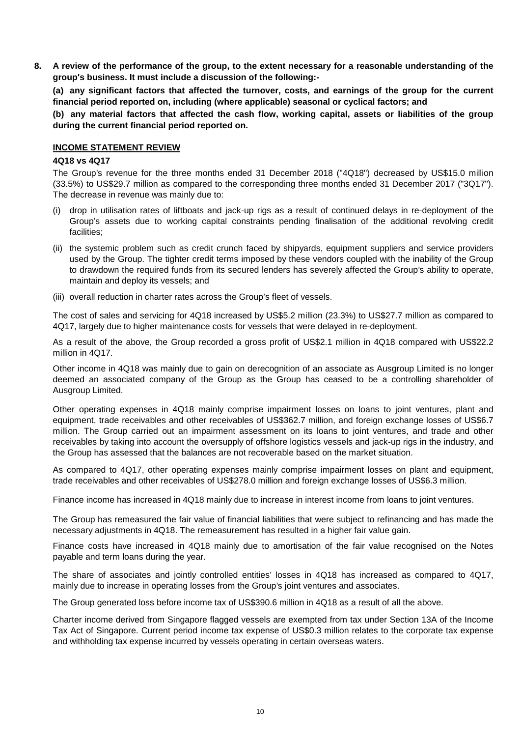**8.** A review of the performance of the group, to the extent necessary for a reasonable understanding of the **group's business. It must include a discussion of the following:-**

**(a) any significant factors that affected the turnover, costs, and earnings of the group for the current financial period reported on, including (where applicable) seasonal or cyclical factors; and**

**(b) any material factors that affected the cash flow, working capital, assets or liabilities of the group during the current financial period reported on.**

## **INCOME STATEMENT REVIEW**

### **4Q18 vs 4Q17**

The Group's revenue for the three months ended 31 December 2018 ("4Q18") decreased by US\$15.0 million (33.5%) to US\$29.7 million as compared to the corresponding three months ended 31 December 2017 ("3Q17"). The decrease in revenue was mainly due to:

- (i) drop in utilisation rates of liftboats and jack-up rigs as a result of continued delays in re-deployment of the Group's assets due to working capital constraints pending finalisation of the additional revolving credit facilities;
- (ii) the systemic problem such as credit crunch faced by shipyards, equipment suppliers and service providers used by the Group. The tighter credit terms imposed by these vendors coupled with the inability of the Group to drawdown the required funds from its secured lenders has severely affected the Group's ability to operate, maintain and deploy its vessels; and
- (iii) overall reduction in charter rates across the Group's fleet of vessels.

The cost of sales and servicing for 4Q18 increased by US\$5.2 million (23.3%) to US\$27.7 million as compared to 4Q17, largely due to higher maintenance costs for vessels that were delayed in re-deployment.

As a result of the above, the Group recorded a gross profit of US\$2.1 million in 4Q18 compared with US\$22.2 million in 4Q17.

Other income in 4Q18 was mainly due to gain on derecognition of an associate as Ausgroup Limited is no longer deemed an associated company of the Group as the Group has ceased to be a controlling shareholder of Ausgroup Limited.

Other operating expenses in 4Q18 mainly comprise impairment losses on loans to joint ventures, plant and equipment, trade receivables and other receivables of US\$362.7 million, and foreign exchange losses of US\$6.7 million. The Group carried out an impairment assessment on its loans to joint ventures, and trade and other receivables by taking into account the oversupply of offshore logistics vessels and jack-up rigs in the industry, and the Group has assessed that the balances are not recoverable based on the market situation.

As compared to 4Q17, other operating expenses mainly comprise impairment losses on plant and equipment, trade receivables and other receivables of US\$278.0 million and foreign exchange losses of US\$6.3 million.

Finance income has increased in 4Q18 mainly due to increase in interest income from loans to joint ventures.

The Group has remeasured the fair value of financial liabilities that were subject to refinancing and has made the necessary adjustments in 4Q18. The remeasurement has resulted in a higher fair value gain.

Finance costs have increased in 4Q18 mainly due to amortisation of the fair value recognised on the Notes payable and term loans during the year.

The share of associates and jointly controlled entities' losses in 4Q18 has increased as compared to 4Q17, mainly due to increase in operating losses from the Group's joint ventures and associates.

The Group generated loss before income tax of US\$390.6 million in 4Q18 as a result of all the above.

Charter income derived from Singapore flagged vessels are exempted from tax under Section 13A of the Income Tax Act of Singapore. Current period income tax expense of US\$0.3 million relates to the corporate tax expense and withholding tax expense incurred by vessels operating in certain overseas waters.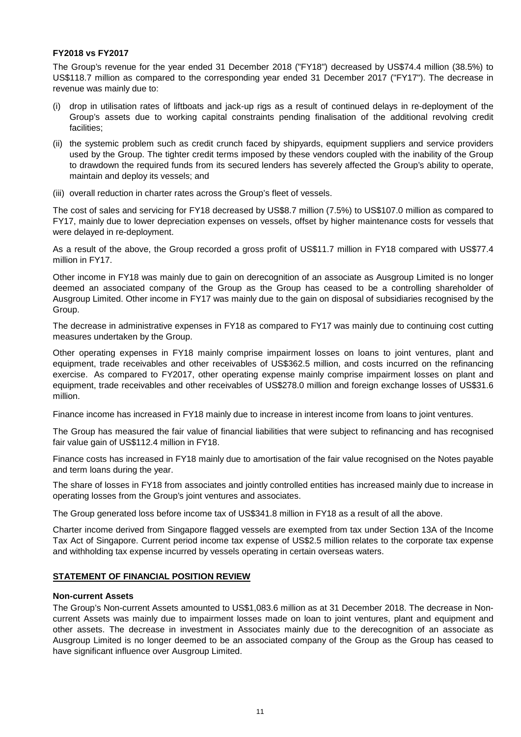# **FY2018 vs FY2017**

The Group's revenue for the year ended 31 December 2018 ("FY18") decreased by US\$74.4 million (38.5%) to US\$118.7 million as compared to the corresponding year ended 31 December 2017 ("FY17"). The decrease in revenue was mainly due to:

- (i) drop in utilisation rates of liftboats and jack-up rigs as a result of continued delays in re-deployment of the Group's assets due to working capital constraints pending finalisation of the additional revolving credit facilities;
- (ii) the systemic problem such as credit crunch faced by shipyards, equipment suppliers and service providers used by the Group. The tighter credit terms imposed by these vendors coupled with the inability of the Group to drawdown the required funds from its secured lenders has severely affected the Group's ability to operate, maintain and deploy its vessels; and
- (iii) overall reduction in charter rates across the Group's fleet of vessels.

The cost of sales and servicing for FY18 decreased by US\$8.7 million (7.5%) to US\$107.0 million as compared to FY17, mainly due to lower depreciation expenses on vessels, offset by higher maintenance costs for vessels that were delayed in re-deployment.

As a result of the above, the Group recorded a gross profit of US\$11.7 million in FY18 compared with US\$77.4 million in FY17.

Other income in FY18 was mainly due to gain on derecognition of an associate as Ausgroup Limited is no longer deemed an associated company of the Group as the Group has ceased to be a controlling shareholder of Ausgroup Limited. Other income in FY17 was mainly due to the gain on disposal of subsidiaries recognised by the Group.

The decrease in administrative expenses in FY18 as compared to FY17 was mainly due to continuing cost cutting measures undertaken by the Group.

Other operating expenses in FY18 mainly comprise impairment losses on loans to joint ventures, plant and equipment, trade receivables and other receivables of US\$362.5 million, and costs incurred on the refinancing exercise. As compared to FY2017, other operating expense mainly comprise impairment losses on plant and equipment, trade receivables and other receivables of US\$278.0 million and foreign exchange losses of US\$31.6 million.

Finance income has increased in FY18 mainly due to increase in interest income from loans to joint ventures.

The Group has measured the fair value of financial liabilities that were subject to refinancing and has recognised fair value gain of US\$112.4 million in FY18.

Finance costs has increased in FY18 mainly due to amortisation of the fair value recognised on the Notes payable and term loans during the year.

The share of losses in FY18 from associates and jointly controlled entities has increased mainly due to increase in operating losses from the Group's joint ventures and associates.

The Group generated loss before income tax of US\$341.8 million in FY18 as a result of all the above.

Charter income derived from Singapore flagged vessels are exempted from tax under Section 13A of the Income Tax Act of Singapore. Current period income tax expense of US\$2.5 million relates to the corporate tax expense and withholding tax expense incurred by vessels operating in certain overseas waters.

# **STATEMENT OF FINANCIAL POSITION REVIEW**

# **Non-current Assets**

The Group's Non-current Assets amounted to US\$1,083.6 million as at 31 December 2018. The decrease in Noncurrent Assets was mainly due to impairment losses made on loan to joint ventures, plant and equipment and other assets. The decrease in investment in Associates mainly due to the derecognition of an associate as Ausgroup Limited is no longer deemed to be an associated company of the Group as the Group has ceased to have significant influence over Ausgroup Limited.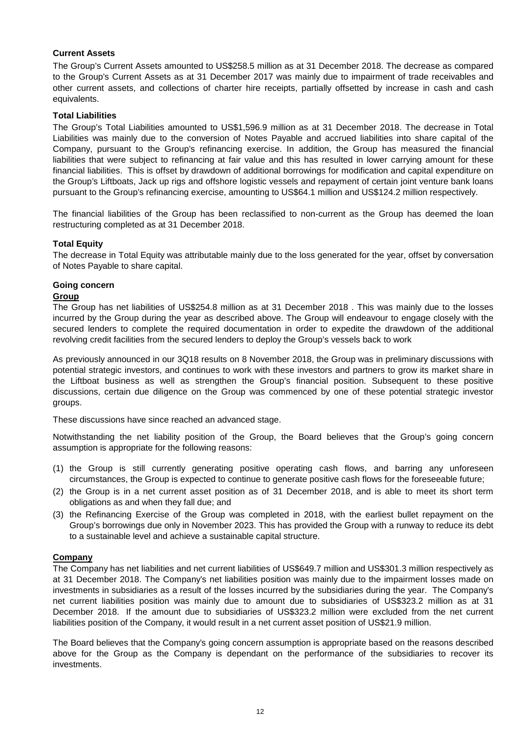# **Current Assets**

The Group's Current Assets amounted to US\$258.5 million as at 31 December 2018. The decrease as compared to the Group's Current Assets as at 31 December 2017 was mainly due to impairment of trade receivables and other current assets, and collections of charter hire receipts, partially offsetted by increase in cash and cash equivalents.

## **Total Liabilities**

The Group's Total Liabilities amounted to US\$1,596.9 million as at 31 December 2018. The decrease in Total Liabilities was mainly due to the conversion of Notes Payable and accrued liabilities into share capital of the Company, pursuant to the Group's refinancing exercise. In addition, the Group has measured the financial liabilities that were subject to refinancing at fair value and this has resulted in lower carrying amount for these financial liabilities. This is offset by drawdown of additional borrowings for modification and capital expenditure on the Group's Liftboats, Jack up rigs and offshore logistic vessels and repayment of certain joint venture bank loans pursuant to the Group's refinancing exercise, amounting to US\$64.1 million and US\$124.2 million respectively.

The financial liabilities of the Group has been reclassified to non-current as the Group has deemed the loan restructuring completed as at 31 December 2018.

### **Total Equity**

The decrease in Total Equity was attributable mainly due to the loss generated for the year, offset by conversation of Notes Payable to share capital.

# **Going concern**

## **Group**

The Group has net liabilities of US\$254.8 million as at 31 December 2018 . This was mainly due to the losses incurred by the Group during the year as described above. The Group will endeavour to engage closely with the secured lenders to complete the required documentation in order to expedite the drawdown of the additional revolving credit facilities from the secured lenders to deploy the Group's vessels back to work

As previously announced in our 3Q18 results on 8 November 2018, the Group was in preliminary discussions with potential strategic investors, and continues to work with these investors and partners to grow its market share in the Liftboat business as well as strengthen the Group's financial position. Subsequent to these positive discussions, certain due diligence on the Group was commenced by one of these potential strategic investor groups.

These discussions have since reached an advanced stage.

Notwithstanding the net liability position of the Group, the Board believes that the Group's going concern assumption is appropriate for the following reasons:

- (1) the Group is still currently generating positive operating cash flows, and barring any unforeseen circumstances, the Group is expected to continue to generate positive cash flows for the foreseeable future;
- (2) the Group is in a net current asset position as of 31 December 2018, and is able to meet its short term obligations as and when they fall due; and
- (3) the Refinancing Exercise of the Group was completed in 2018, with the earliest bullet repayment on the Group's borrowings due only in November 2023. This has provided the Group with a runway to reduce its debt to a sustainable level and achieve a sustainable capital structure.

## **Company**

The Company has net liabilities and net current liabilities of US\$649.7 million and US\$301.3 million respectively as at 31 December 2018. The Company's net liabilities position was mainly due to the impairment losses made on investments in subsidiaries as a result of the losses incurred by the subsidiaries during the year. The Company's net current liabilities position was mainly due to amount due to subsidiaries of US\$323.2 million as at 31 December 2018. If the amount due to subsidiaries of US\$323.2 million were excluded from the net current liabilities position of the Company, it would result in a net current asset position of US\$21.9 million.

The Board believes that the Company's going concern assumption is appropriate based on the reasons described above for the Group as the Company is dependant on the performance of the subsidiaries to recover its investments.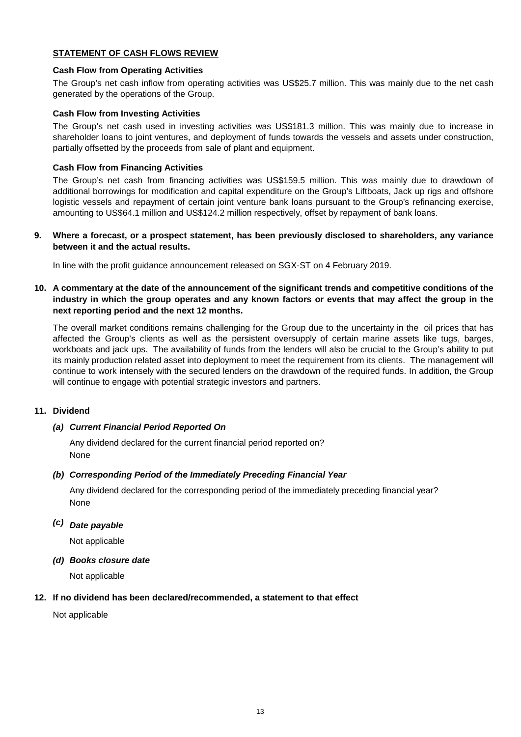# **STATEMENT OF CASH FLOWS REVIEW**

# **Cash Flow from Operating Activities**

The Group's net cash inflow from operating activities was US\$25.7 million. This was mainly due to the net cash generated by the operations of the Group.

# **Cash Flow from Investing Activities**

The Group's net cash used in investing activities was US\$181.3 million. This was mainly due to increase in shareholder loans to joint ventures, and deployment of funds towards the vessels and assets under construction, partially offsetted by the proceeds from sale of plant and equipment.

# .**Cash Flow from Financing Activities**

The Group's net cash from financing activities was US\$159.5 million. This was mainly due to drawdown of additional borrowings for modification and capital expenditure on the Group's Liftboats, Jack up rigs and offshore logistic vessels and repayment of certain joint venture bank loans pursuant to the Group's refinancing exercise, amounting to US\$64.1 million and US\$124.2 million respectively, offset by repayment of bank loans.

# **9. Where a forecast, or a prospect statement, has been previously disclosed to shareholders, any variance between it and the actual results.**

In line with the profit guidance announcement released on SGX-ST on 4 February 2019.

10. A commentary at the date of the announcement of the significant trends and competitive conditions of the industry in which the group operates and any known factors or events that may affect the group in the **next reporting period and the next 12 months.**

The overall market conditions remains challenging for the Group due to the uncertainty in the oil prices that has affected the Group's clients as well as the persistent oversupply of certain marine assets like tugs, barges, workboats and jack ups. The availability of funds from the lenders will also be crucial to the Group's ability to put its mainly production related asset into deployment to meet the requirement from its clients. The management will continue to work intensely with the secured lenders on the drawdown of the required funds. In addition, the Group will continue to engage with potential strategic investors and partners.

# **11. Dividend**

## *(a) Current Financial Period Reported On*

Any dividend declared for the current financial period reported on? None

# *(b) Corresponding Period of the Immediately Preceding Financial Year*

None Any dividend declared for the corresponding period of the immediately preceding financial year?

# *(c) Date payable*

Not applicable

### *(d) Books closure date*

Not applicable

### **12. If no dividend has been declared/recommended, a statement to that effect**

Not applicable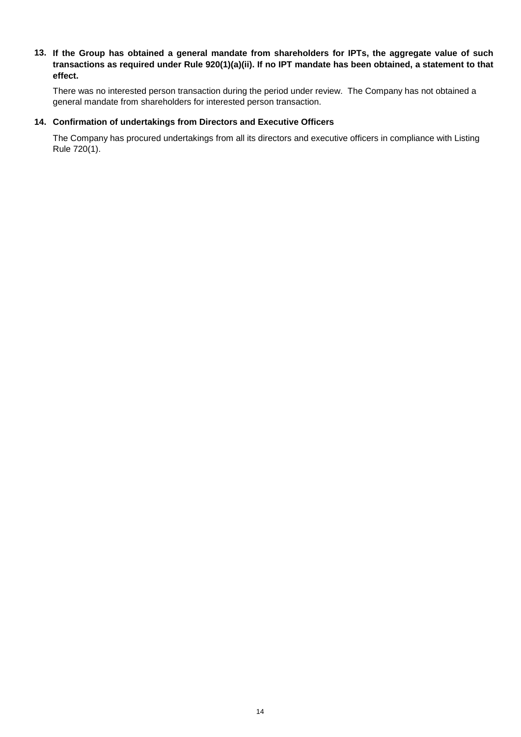# 13. If the Group has obtained a general mandate from shareholders for IPTs, the aggregate value of such transactions as required under Rule 920(1)(a)(ii). If no IPT mandate has been obtained, a statement to that **effect.**

There was no interested person transaction during the period under review. The Company has not obtained a general mandate from shareholders for interested person transaction.

# **14. Confirmation of undertakings from Directors and Executive Officers**

The Company has procured undertakings from all its directors and executive officers in compliance with Listing Rule 720(1).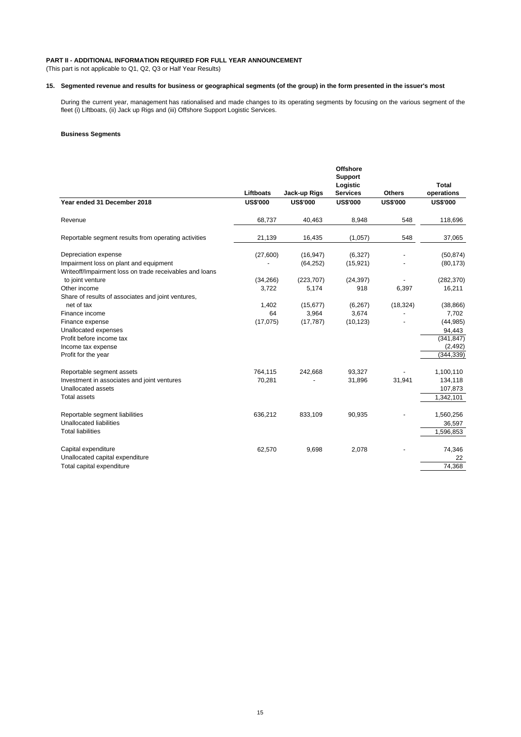#### **PART II - ADDITIONAL INFORMATION REQUIRED FOR FULL YEAR ANNOUNCEMENT**

(This part is not applicable to Q1, Q2, Q3 or Half Year Results)

#### **15. Segmented revenue and results for business or geographical segments (of the group) in the form presented in the issuer's most**

During the current year, management has rationalised and made changes to its operating segments by focusing on the various segment of the fleet (i) Liftboats, (ii) Jack up Rigs and (iii) Offshore Support Logistic Services.

#### **Business Segments**

|                                                                                                   |                 |                 | <b>Offshore</b>            |                 |                 |
|---------------------------------------------------------------------------------------------------|-----------------|-----------------|----------------------------|-----------------|-----------------|
|                                                                                                   |                 |                 | <b>Support</b><br>Logistic |                 | <b>Total</b>    |
|                                                                                                   | Liftboats       | Jack-up Rigs    | <b>Services</b>            | <b>Others</b>   | operations      |
| Year ended 31 December 2018                                                                       | <b>US\$'000</b> | <b>US\$'000</b> | <b>US\$'000</b>            | <b>US\$'000</b> | <b>US\$'000</b> |
| Revenue                                                                                           | 68,737          | 40,463          | 8,948                      | 548             | 118,696         |
| Reportable segment results from operating activities                                              | 21,139          | 16,435          | (1,057)                    | 548             | 37,065          |
| Depreciation expense                                                                              | (27,600)        | (16, 947)       | (6,327)                    |                 | (50, 874)       |
| Impairment loss on plant and equipment<br>Writeoff/Impairment loss on trade receivables and loans |                 | (64, 252)       | (15, 921)                  |                 | (80, 173)       |
| to joint venture                                                                                  | (34, 266)       | (223, 707)      | (24, 397)                  |                 | (282, 370)      |
| Other income                                                                                      | 3,722           | 5,174           | 918                        | 6,397           | 16,211          |
| Share of results of associates and joint ventures,                                                |                 |                 |                            |                 |                 |
| net of tax                                                                                        | 1,402           | (15, 677)       | (6, 267)                   | (18, 324)       | (38, 866)       |
| Finance income                                                                                    | 64              | 3,964           | 3,674                      |                 | 7,702           |
| Finance expense                                                                                   | (17,075)        | (17, 787)       | (10, 123)                  |                 | (44, 985)       |
| Unallocated expenses                                                                              |                 |                 |                            |                 | 94,443          |
| Profit before income tax                                                                          |                 |                 |                            |                 | (341, 847)      |
| Income tax expense                                                                                |                 |                 |                            |                 | (2, 492)        |
| Profit for the year                                                                               |                 |                 |                            |                 | (344, 339)      |
| Reportable segment assets                                                                         | 764,115         | 242,668         | 93,327                     |                 | 1,100,110       |
| Investment in associates and joint ventures                                                       | 70,281          |                 | 31,896                     | 31,941          | 134,118         |
| Unallocated assets                                                                                |                 |                 |                            |                 | 107,873         |
| <b>Total assets</b>                                                                               |                 |                 |                            |                 | 1,342,101       |
| Reportable segment liabilities                                                                    | 636,212         | 833,109         | 90,935                     |                 | 1,560,256       |
| Unallocated liabilities                                                                           |                 |                 |                            |                 | 36,597          |
| <b>Total liabilities</b>                                                                          |                 |                 |                            |                 | 1,596,853       |
| Capital expenditure                                                                               | 62,570          | 9,698           | 2,078                      |                 | 74,346          |
| Unallocated capital expenditure                                                                   |                 |                 |                            |                 | 22              |
| Total capital expenditure                                                                         |                 |                 |                            |                 | 74,368          |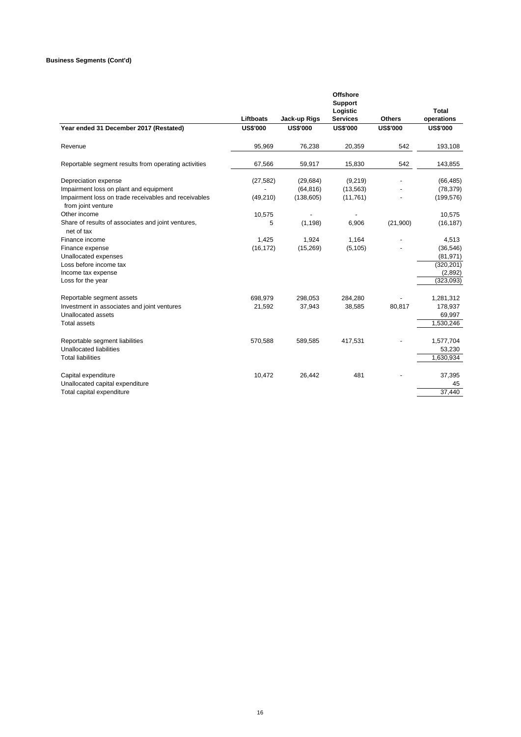|           |                                                      | <b>Offshore</b>                                         |                                                                                         |                                  |
|-----------|------------------------------------------------------|---------------------------------------------------------|-----------------------------------------------------------------------------------------|----------------------------------|
|           |                                                      |                                                         |                                                                                         |                                  |
|           |                                                      |                                                         |                                                                                         | <b>Total</b>                     |
|           |                                                      |                                                         |                                                                                         | operations                       |
|           |                                                      |                                                         |                                                                                         | <b>US\$'000</b>                  |
| 95,969    | 76,238                                               | 20,359                                                  | 542                                                                                     | 193,108                          |
| 67,566    | 59,917                                               | 15,830                                                  | 542                                                                                     | 143,855                          |
| (27, 582) | (29, 684)                                            | (9,219)                                                 |                                                                                         | (66, 485)                        |
|           | (64, 816)                                            | (13, 563)                                               |                                                                                         | (78, 379)                        |
| (49, 210) | (138, 605)                                           | (11, 761)                                               |                                                                                         | (199, 576)                       |
| 10,575    |                                                      |                                                         |                                                                                         | 10,575                           |
| 5         | (1, 198)                                             | 6,906                                                   | (21,900)                                                                                | (16, 187)                        |
| 1,425     | 1,924                                                | 1,164                                                   |                                                                                         | 4,513                            |
|           |                                                      |                                                         |                                                                                         | (36, 546)                        |
|           |                                                      |                                                         |                                                                                         | (81, 971)                        |
|           |                                                      |                                                         |                                                                                         | (320, 201)                       |
|           |                                                      |                                                         |                                                                                         | (2,892)                          |
|           |                                                      |                                                         |                                                                                         | (323,093)                        |
| 698,979   | 298,053                                              | 284,280                                                 |                                                                                         | 1,281,312                        |
| 21,592    | 37,943                                               | 38,585                                                  | 80,817                                                                                  | 178,937                          |
|           |                                                      |                                                         |                                                                                         | 69,997                           |
|           |                                                      |                                                         |                                                                                         | 1,530,246                        |
|           |                                                      |                                                         |                                                                                         | 1,577,704                        |
|           |                                                      |                                                         |                                                                                         | 53,230                           |
|           |                                                      |                                                         |                                                                                         | 1,630,934                        |
| 10,472    | 26,442                                               | 481                                                     |                                                                                         | 37,395                           |
|           |                                                      |                                                         |                                                                                         | 45                               |
|           |                                                      |                                                         |                                                                                         | 37,440                           |
|           | Liftboats<br><b>US\$'000</b><br>(16, 172)<br>570,588 | Jack-up Rigs<br><b>US\$'000</b><br>(15, 269)<br>589,585 | <b>Support</b><br>Logistic<br><b>Services</b><br><b>US\$'000</b><br>(5, 105)<br>417,531 | <b>Others</b><br><b>US\$'000</b> |